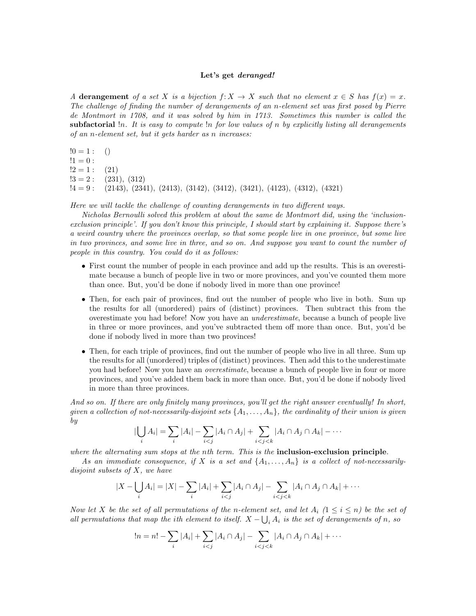## Let's get deranged!

A derangement of a set X is a bijection  $f: X \to X$  such that no element  $x \in S$  has  $f(x) = x$ . The challenge of finding the number of derangements of an n-element set was first posed by Pierre de Montmort in 1708, and it was solved by him in 1713. Sometimes this number is called the subfactorial  $\ln$ . It is easy to compute  $\ln$  for low values of n by explicitly listing all derangements of an n-element set, but it gets harder as n increases:

```
!0 = 1: ()
!1 = 0:!2 = 1 : (21)
!3 = 2: (231), (312)
[4 = 9: (2143), (2341), (2413), (3142), (3412), (3421), (4123), (4312), (4321)
```
Here we will tackle the challenge of counting derangements in two different ways.

Nicholas Bernoulli solved this problem at about the same de Montmort did, using the 'inclusionexclusion principle'. If you don't know this principle, I should start by explaining it. Suppose there's a weird country where the provinces overlap, so that some people live in one province, but some live in two provinces, and some live in three, and so on. And suppose you want to count the number of people in this country. You could do it as follows:

- First count the number of people in each province and add up the results. This is an overestimate because a bunch of people live in two or more provinces, and you've counted them more than once. But, you'd be done if nobody lived in more than one province!
- Then, for each pair of provinces, find out the number of people who live in both. Sum up the results for all (unordered) pairs of (distinct) provinces. Then subtract this from the overestimate you had before! Now you have an underestimate, because a bunch of people live in three or more provinces, and you've subtracted them off more than once. But, you'd be done if nobody lived in more than two provinces!
- Then, for each triple of provinces, find out the number of people who live in all three. Sum up the results for all (unordered) triples of (distinct) provinces. Then add this to the underestimate you had before! Now you have an overestimate, because a bunch of people live in four or more provinces, and you've added them back in more than once. But, you'd be done if nobody lived in more than three provinces.

And so on. If there are only finitely many provinces, you'll get the right answer eventually! In short, given a collection of not-necessarily-disjoint sets  $\{A_1, \ldots, A_n\}$ , the cardinality of their union is given by

$$
\left|\bigcup_{i} A_{i}\right| = \sum_{i} |A_{i}| - \sum_{i < j} |A_{i} \cap A_{j}| + \sum_{i < j < k} |A_{i} \cap A_{j} \cap A_{k}| - \cdots
$$

where the alternating sum stops at the nth term. This is the **inclusion-exclusion principle**.

As an immediate consequence, if X is a set and  $\{A_1, \ldots, A_n\}$  is a collect of not-necessarilydisjoint subsets of  $X$ , we have

$$
|X - \bigcup_i A_i| = |X| - \sum_i |A_i| + \sum_{i < j} |A_i \cap A_j| - \sum_{i < j < k} |A_i \cap A_j \cap A_k| + \cdots
$$

Now let X be the set of all permutations of the n-element set, and let  $A_i$  ( $1 \le i \le n$ ) be the set of all permutations that map the ith element to itself.  $X - \bigcup_i A_i$  is the set of derangements of n, so

$$
!n = n! - \sum_{i} |A_i| + \sum_{i < j} |A_i \cap A_j| - \sum_{i < j < k} |A_i \cap A_j \cap A_k| + \cdots
$$